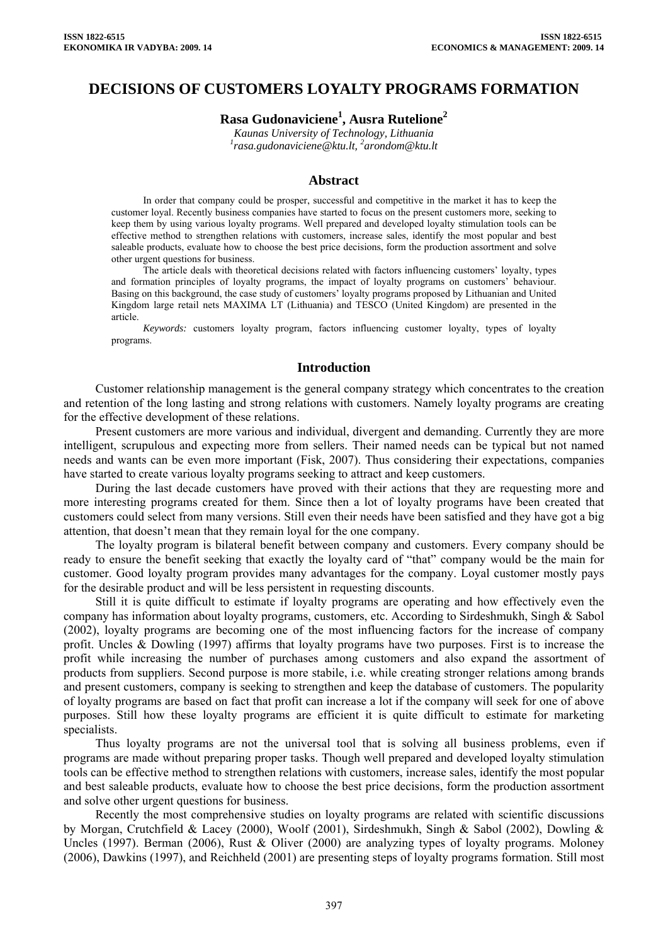## **DECISIONS OF CUSTOMERS LOYALTY PROGRAMS FORMATION**

# **Rasa Gudonaviciene1 , Ausra Rutelione2**

*Kaunas University of Technology, Lithuania*  <sup>1</sup> [rasa.gudonaviciene@ktu.lt](mailto:rasa.gudonaviciene@ktu.lt), <sup>2</sup>arondom@ktu.lt

#### **Abstract**

In order that company could be prosper, successful and competitive in the market it has to keep the customer loyal. Recently business companies have started to focus on the present customers more, seeking to keep them by using various loyalty programs. Well prepared and developed loyalty stimulation tools can be effective method to strengthen relations with customers, increase sales, identify the most popular and best saleable products, evaluate how to choose the best price decisions, form the production assortment and solve other urgent questions for business.

The article deals with theoretical decisions related with factors influencing customers' loyalty, types and formation principles of loyalty programs, the impact of loyalty programs on customers' behaviour. Basing on this background, the case study of customers' loyalty programs proposed by Lithuanian and United Kingdom large retail nets MAXIMA LT (Lithuania) and TESCO (United Kingdom) are presented in the article.

*Keywords:* customers loyalty program, factors influencing customer loyalty, types of loyalty programs.

#### **Introduction**

Customer relationship management is the general company strategy which concentrates to the creation and retention of the long lasting and strong relations with customers. Namely loyalty programs are creating for the effective development of these relations.

Present customers are more various and individual, divergent and demanding. Currently they are more intelligent, scrupulous and expecting more from sellers. Their named needs can be typical but not named needs and wants can be even more important (Fisk, 2007). Thus considering their expectations, companies have started to create various loyalty programs seeking to attract and keep customers.

During the last decade customers have proved with their actions that they are requesting more and more interesting programs created for them. Since then a lot of loyalty programs have been created that customers could select from many versions. Still even their needs have been satisfied and they have got a big attention, that doesn't mean that they remain loyal for the one company.

The loyalty program is bilateral benefit between company and customers. Every company should be ready to ensure the benefit seeking that exactly the loyalty card of "that" company would be the main for customer. Good loyalty program provides many advantages for the company. Loyal customer mostly pays for the desirable product and will be less persistent in requesting discounts.

Still it is quite difficult to estimate if loyalty programs are operating and how effectively even the company has information about loyalty programs, customers, etc. According to Sirdeshmukh, Singh & Sabol (2002), loyalty programs are becoming one of the most influencing factors for the increase of company profit. Uncles & Dowling (1997) affirms that loyalty programs have two purposes. First is to increase the profit while increasing the number of purchases among customers and also expand the assortment of products from suppliers. Second purpose is more stabile, i.e. while creating stronger relations among brands and present customers, company is seeking to strengthen and keep the database of customers. The popularity of loyalty programs are based on fact that profit can increase a lot if the company will seek for one of above purposes. Still how these loyalty programs are efficient it is quite difficult to estimate for marketing specialists.

Thus loyalty programs are not the universal tool that is solving all business problems, even if programs are made without preparing proper tasks. Though well prepared and developed loyalty stimulation tools can be effective method to strengthen relations with customers, increase sales, identify the most popular and best saleable products, evaluate how to choose the best price decisions, form the production assortment and solve other urgent questions for business.

Recently the most comprehensive studies on loyalty programs are related with scientific discussions by Morgan, Crutchfield & Lacey (2000), Woolf (2001), Sirdeshmukh, Singh & Sabol (2002), Dowling & Uncles (1997). Berman (2006), Rust & Oliver (2000) are analyzing types of loyalty programs. Moloney (2006), Dawkins (1997), and Reichheld (2001) are presenting steps of loyalty programs formation. Still most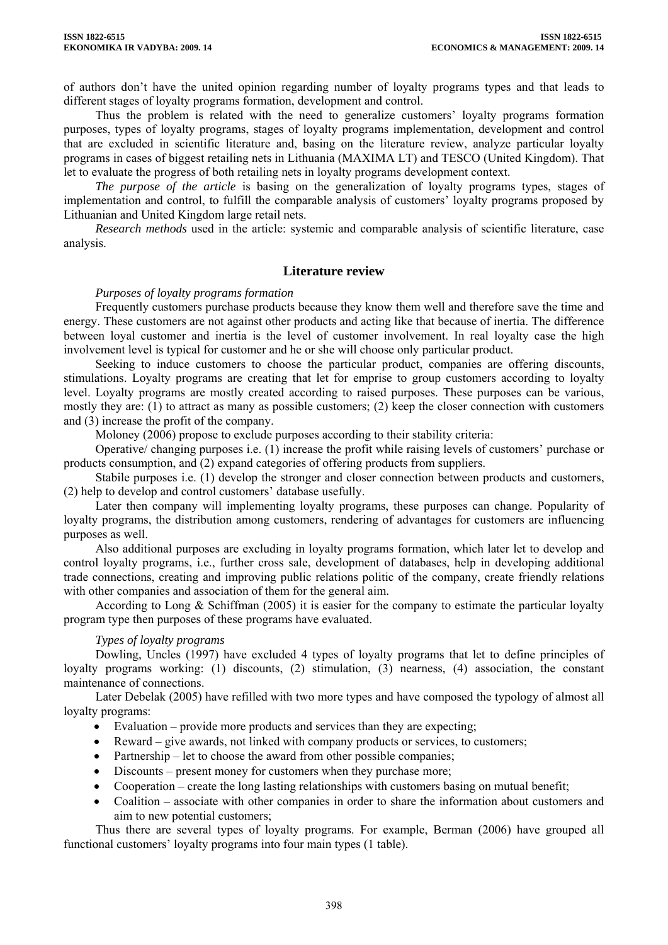of authors don't have the united opinion regarding number of loyalty programs types and that leads to different stages of loyalty programs formation, development and control.

Thus the problem is related with the need to generalize customers' loyalty programs formation purposes, types of loyalty programs, stages of loyalty programs implementation, development and control that are excluded in scientific literature and, basing on the literature review, analyze particular loyalty programs in cases of biggest retailing nets in Lithuania (MAXIMA LT) and TESCO (United Kingdom). That let to evaluate the progress of both retailing nets in loyalty programs development context.

*The purpose of the article* is basing on the generalization of loyalty programs types, stages of implementation and control, to fulfill the comparable analysis of customers' loyalty programs proposed by Lithuanian and United Kingdom large retail nets.

*Research methods* used in the article: systemic and comparable analysis of scientific literature, case analysis.

## **Literature review**

## *Purposes of loyalty programs formation*

Frequently customers purchase products because they know them well and therefore save the time and energy. These customers are not against other products and acting like that because of inertia. The difference between loyal customer and inertia is the level of customer involvement. In real loyalty case the high involvement level is typical for customer and he or she will choose only particular product.

Seeking to induce customers to choose the particular product, companies are offering discounts, stimulations. Loyalty programs are creating that let for emprise to group customers according to loyalty level. Loyalty programs are mostly created according to raised purposes. These purposes can be various, mostly they are: (1) to attract as many as possible customers; (2) keep the closer connection with customers and (3) increase the profit of the company.

Moloney (2006) propose to exclude purposes according to their stability criteria:

Operative/ changing purposes i.e. (1) increase the profit while raising levels of customers' purchase or products consumption, and (2) expand categories of offering products from suppliers.

Stabile purposes i.e. (1) develop the stronger and closer connection between products and customers, (2) help to develop and control customers' database usefully.

Later then company will implementing loyalty programs, these purposes can change. Popularity of loyalty programs, the distribution among customers, rendering of advantages for customers are influencing purposes as well.

Also additional purposes are excluding in loyalty programs formation, which later let to develop and control loyalty programs, i.e., further cross sale, development of databases, help in developing additional trade connections, creating and improving public relations politic of the company, create friendly relations with other companies and association of them for the general aim.

According to Long & Schiffman (2005) it is easier for the company to estimate the particular loyalty program type then purposes of these programs have evaluated.

## *Types of loyalty programs*

Dowling, Uncles (1997) have excluded 4 types of loyalty programs that let to define principles of loyalty programs working: (1) discounts, (2) stimulation, (3) nearness, (4) association, the constant maintenance of connections.

Later Debelak (2005) have refilled with two more types and have composed the typology of almost all loyalty programs:

- Evaluation provide more products and services than they are expecting;
- Reward give awards, not linked with company products or services, to customers;
- Partnership let to choose the award from other possible companies;
- Discounts present money for customers when they purchase more;
- Cooperation create the long lasting relationships with customers basing on mutual benefit;
- Coalition associate with other companies in order to share the information about customers and aim to new potential customers;

Thus there are several types of loyalty programs. For example, Berman (2006) have grouped all functional customers' loyalty programs into four main types (1 table).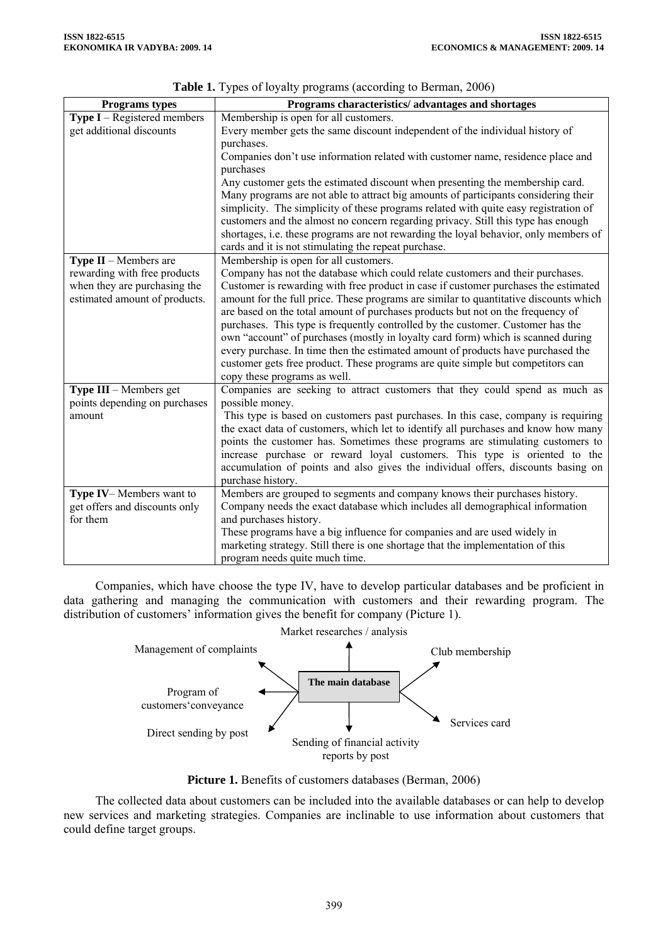| Programs types                     | Programs characteristics/advantages and shortages                                     |  |  |  |
|------------------------------------|---------------------------------------------------------------------------------------|--|--|--|
| <b>Type I</b> – Registered members | Membership is open for all customers.                                                 |  |  |  |
| get additional discounts           | Every member gets the same discount independent of the individual history of          |  |  |  |
|                                    | purchases.                                                                            |  |  |  |
|                                    | Companies don't use information related with customer name, residence place and       |  |  |  |
|                                    | purchases                                                                             |  |  |  |
|                                    | Any customer gets the estimated discount when presenting the membership card.         |  |  |  |
|                                    | Many programs are not able to attract big amounts of participants considering their   |  |  |  |
|                                    | simplicity. The simplicity of these programs related with quite easy registration of  |  |  |  |
|                                    | customers and the almost no concern regarding privacy. Still this type has enough     |  |  |  |
|                                    | shortages, i.e. these programs are not rewarding the loyal behavior, only members of  |  |  |  |
|                                    | cards and it is not stimulating the repeat purchase.                                  |  |  |  |
| <b>Type II</b> – Members are       | Membership is open for all customers.                                                 |  |  |  |
| rewarding with free products       | Company has not the database which could relate customers and their purchases.        |  |  |  |
| when they are purchasing the       | Customer is rewarding with free product in case if customer purchases the estimated   |  |  |  |
| estimated amount of products.      | amount for the full price. These programs are similar to quantitative discounts which |  |  |  |
|                                    | are based on the total amount of purchases products but not on the frequency of       |  |  |  |
|                                    | purchases. This type is frequently controlled by the customer. Customer has the       |  |  |  |
|                                    | own "account" of purchases (mostly in loyalty card form) which is scanned during      |  |  |  |
|                                    | every purchase. In time then the estimated amount of products have purchased the      |  |  |  |
|                                    | customer gets free product. These programs are quite simple but competitors can       |  |  |  |
|                                    | copy these programs as well.                                                          |  |  |  |
| Type III - Members get             | Companies are seeking to attract customers that they could spend as much as           |  |  |  |
| points depending on purchases      | possible money.                                                                       |  |  |  |
| amount                             | This type is based on customers past purchases. In this case, company is requiring    |  |  |  |
|                                    | the exact data of customers, which let to identify all purchases and know how many    |  |  |  |
|                                    | points the customer has. Sometimes these programs are stimulating customers to        |  |  |  |
|                                    | increase purchase or reward loyal customers. This type is oriented to the             |  |  |  |
|                                    | accumulation of points and also gives the individual offers, discounts basing on      |  |  |  |
|                                    | purchase history.                                                                     |  |  |  |
| Type IV-Members want to            | Members are grouped to segments and company knows their purchases history.            |  |  |  |
| get offers and discounts only      | Company needs the exact database which includes all demographical information         |  |  |  |
| for them                           | and purchases history.                                                                |  |  |  |
|                                    | These programs have a big influence for companies and are used widely in              |  |  |  |
|                                    | marketing strategy. Still there is one shortage that the implementation of this       |  |  |  |
|                                    |                                                                                       |  |  |  |
|                                    | program needs quite much time.                                                        |  |  |  |

**Table 1.** Types of loyalty programs (according to Berman, 2006)

Companies, which have choose the type IV, have to develop particular databases and be proficient in data gathering and managing the communication with customers and their rewarding program. The distribution of customers' information gives the benefit for company (Picture 1).



**Picture 1.** Benefits of customers databases (Berman, 2006)

The collected data about customers can be included into the available databases or can help to develop new services and marketing strategies. Companies are inclinable to use information about customers that could define target groups.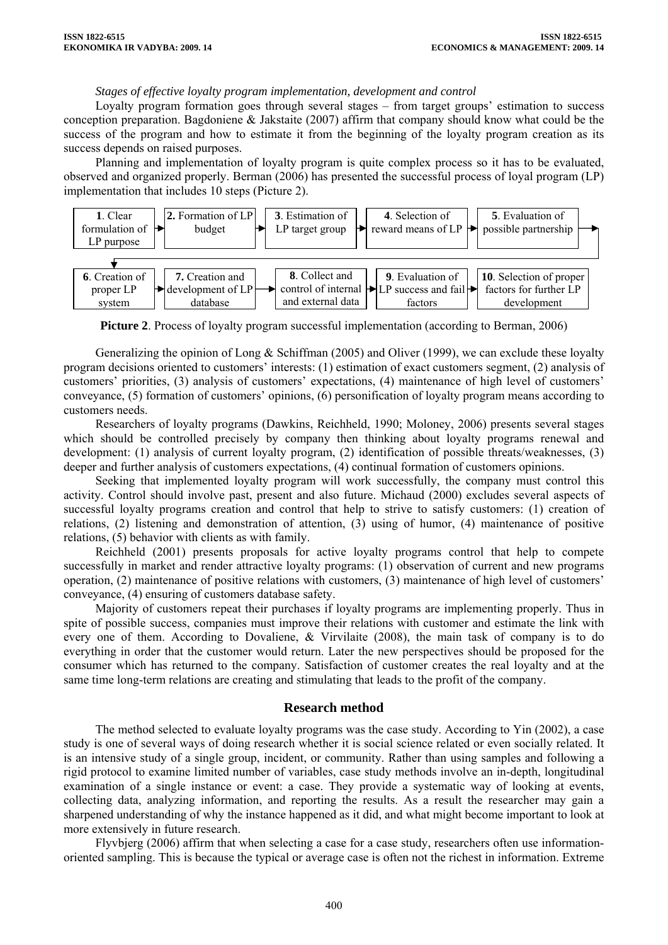## *Stages of effective loyalty program implementation, development and control*

Loyalty program formation goes through several stages – from target groups' estimation to success conception preparation. Bagdoniene & Jakstaite (2007) affirm that company should know what could be the success of the program and how to estimate it from the beginning of the loyalty program creation as its success depends on raised purposes.

Planning and implementation of loyalty program is quite complex process so it has to be evaluated, observed and organized properly. Berman (2006) has presented the successful process of loyal program (LP) implementation that includes 10 steps (Picture 2).



**Picture 2**. Process of loyalty program successful implementation (according to Berman, 2006)

Generalizing the opinion of Long & Schiffman (2005) and Oliver (1999), we can exclude these loyalty program decisions oriented to customers' interests: (1) estimation of exact customers segment, (2) analysis of customers' priorities, (3) analysis of customers' expectations, (4) maintenance of high level of customers' conveyance, (5) formation of customers' opinions, (6) personification of loyalty program means according to customers needs.

Researchers of loyalty programs (Dawkins, Reichheld, 1990; Moloney, 2006) presents several stages which should be controlled precisely by company then thinking about loyalty programs renewal and development: (1) analysis of current loyalty program, (2) identification of possible threats/weaknesses, (3) deeper and further analysis of customers expectations, (4) continual formation of customers opinions.

Seeking that implemented loyalty program will work successfully, the company must control this activity. Control should involve past, present and also future. Michaud (2000) excludes several aspects of successful loyalty programs creation and control that help to strive to satisfy customers: (1) creation of relations, (2) listening and demonstration of attention, (3) using of humor, (4) maintenance of positive relations, (5) behavior with clients as with family.

Reichheld (2001) presents proposals for active loyalty programs control that help to compete successfully in market and render attractive loyalty programs: (1) observation of current and new programs operation, (2) maintenance of positive relations with customers, (3) maintenance of high level of customers' conveyance, (4) ensuring of customers database safety.

Majority of customers repeat their purchases if loyalty programs are implementing properly. Thus in spite of possible success, companies must improve their relations with customer and estimate the link with every one of them. According to Dovaliene, & Virvilaite (2008), the main task of company is to do everything in order that the customer would return. Later the new perspectives should be proposed for the consumer which has returned to the company. Satisfaction of customer creates the real loyalty and at the same time long-term relations are creating and stimulating that leads to the profit of the company.

#### **Research method**

The method selected to evaluate loyalty programs was the case study. According to Yin (2002), a case study is one of several ways of doing [research](http://en.wikipedia.org/wiki/Research) whether it is [social science](http://en.wikipedia.org/wiki/Social_science) related or even [socially](http://en.wikipedia.org/wiki/Socially) related. It is an intensive study of a single group, incident, or community. Rather than using samples and following a rigid protocol to examine limited number of variables, case study methods involve an in-depth, longitudinal examination of a single instance or event: a case. They provide a systematic way of looking at events, collecting [data](http://en.wikipedia.org/wiki/Data), analyzing [information](http://en.wikipedia.org/wiki/Information), and reporting the results. As a result the researcher may gain a sharpened understanding of why the instance happened as it did, and what might become important to look at more extensively in future research.

Flyvbjerg (2006) affirm that when selecting a case for a case study, researchers often use informationoriented sampling. This is because the typical or average case is often not the richest in information. Extreme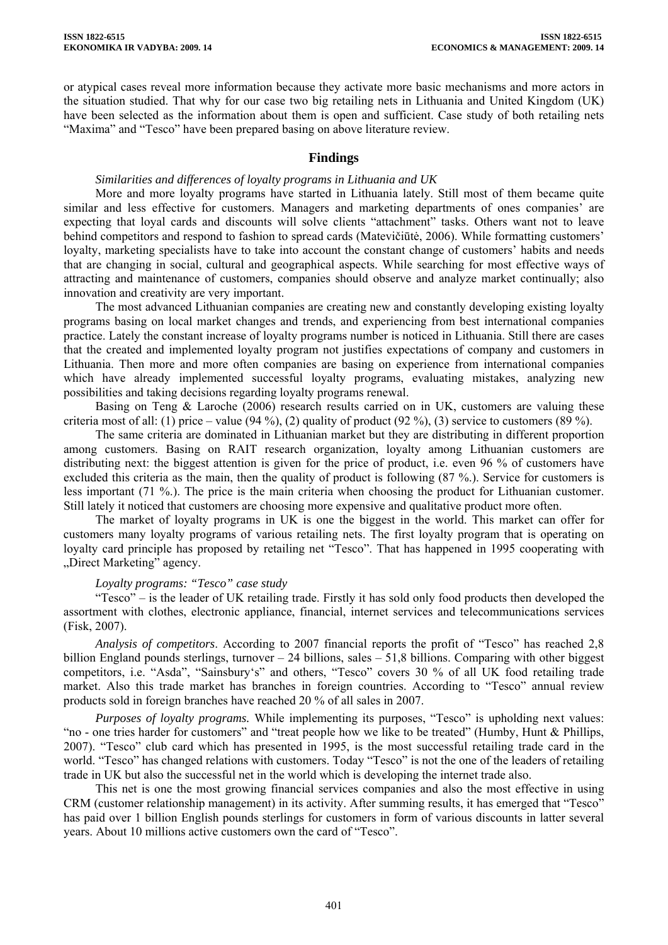or atypical cases reveal more information because they activate more basic mechanisms and more actors in the situation studied. That why for our case two big retailing nets in Lithuania and United Kingdom (UK) have been selected as the information about them is open and sufficient. Case study of both retailing nets "Maxima" and "Tesco" have been prepared basing on above literature review.

## **Findings**

## *Similarities and differences of loyalty programs in Lithuania and UK*

More and more loyalty programs have started in Lithuania lately. Still most of them became quite similar and less effective for customers. Managers and marketing departments of ones companies' are expecting that loyal cards and discounts will solve clients "attachment" tasks. Others want not to leave behind competitors and respond to fashion to spread cards (Matevičiūtė, 2006). While formatting customers' loyalty, marketing specialists have to take into account the constant change of customers' habits and needs that are changing in social, cultural and geographical aspects. While searching for most effective ways of attracting and maintenance of customers, companies should observe and analyze market continually; also innovation and creativity are very important.

The most advanced Lithuanian companies are creating new and constantly developing existing loyalty programs basing on local market changes and trends, and experiencing from best international companies practice. Lately the constant increase of loyalty programs number is noticed in Lithuania. Still there are cases that the created and implemented loyalty program not justifies expectations of company and customers in Lithuania. Then more and more often companies are basing on experience from international companies which have already implemented successful loyalty programs, evaluating mistakes, analyzing new possibilities and taking decisions regarding loyalty programs renewal.

Basing on Teng  $\&$  Laroche (2006) research results carried on in UK, customers are valuing these criteria most of all: (1) price – value (94 %), (2) quality of product (92 %), (3) service to customers (89 %).

The same criteria are dominated in Lithuanian market but they are distributing in different proportion among customers. Basing on RAIT research organization, loyalty among Lithuanian customers are distributing next: the biggest attention is given for the price of product, i.e. even 96 % of customers have excluded this criteria as the main, then the quality of product is following (87 %.). Service for customers is less important (71 %.). The price is the main criteria when choosing the product for Lithuanian customer. Still lately it noticed that customers are choosing more expensive and qualitative product more often.

The market of loyalty programs in UK is one the biggest in the world. This market can offer for customers many loyalty programs of various retailing nets. The first loyalty program that is operating on loyalty card principle has proposed by retailing net "Tesco". That has happened in 1995 cooperating with "Direct Marketing" agency.

## *Loyalty programs: "Tesco" case study*

"Tesco" – is the leader of UK retailing trade. Firstly it has sold only food products then developed the assortment with clothes, electronic appliance, financial, internet services and telecommunications services (Fisk, 2007).

*Analysis of competitors*. According to 2007 financial reports the profit of "Tesco" has reached 2,8 billion England pounds sterlings, turnover – 24 billions, sales – 51,8 billions. Comparing with other biggest competitors, i.e. "Asda", "Sainsbury's" and others, "Tesco" covers 30 % of all UK food retailing trade market. Also this trade market has branches in foreign countries. According to "Tesco" annual review products sold in foreign branches have reached 20 % of all sales in 2007.

*Purposes of loyalty programs.* While implementing its purposes, "Tesco" is upholding next values: "no - one tries harder for customers" and "treat people how we like to be treated" (Humby, Hunt & Phillips, 2007). "Tesco" club card which has presented in 1995, is the most successful retailing trade card in the world. "Tesco" has changed relations with customers. Today "Tesco" is not the one of the leaders of retailing trade in UK but also the successful net in the world which is developing the internet trade also.

This net is one the most growing financial services companies and also the most effective in using CRM (customer relationship management) in its activity. After summing results, it has emerged that "Tesco" has paid over 1 billion English pounds sterlings for customers in form of various discounts in latter several years. About 10 millions active customers own the card of "Tesco".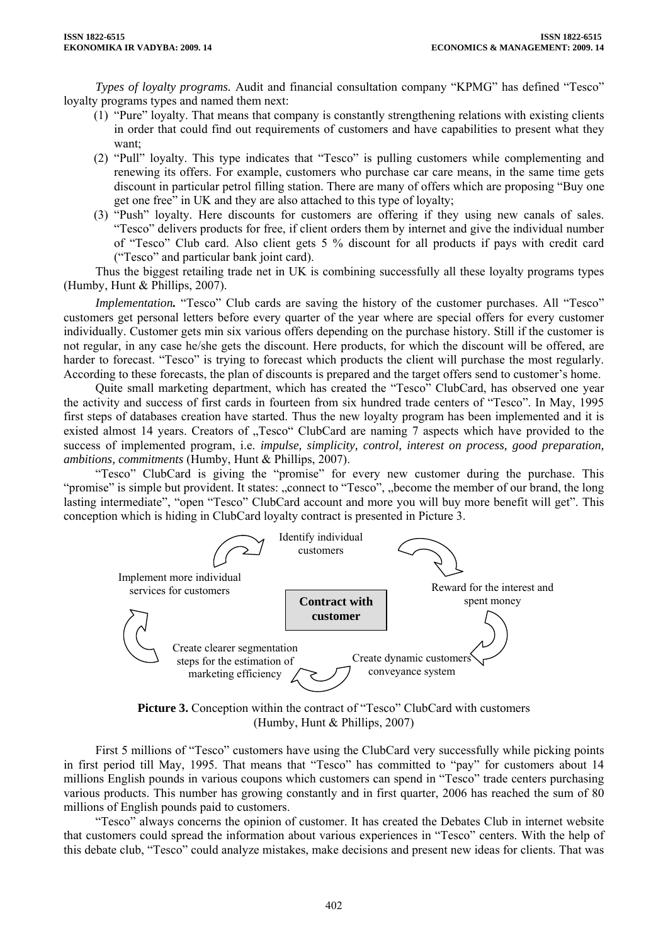*Types of loyalty programs.* Audit and financial consultation company "KPMG" has defined "Tesco" loyalty programs types and named them next:

- (1) "Pure" loyalty. That means that company is constantly strengthening relations with existing clients in order that could find out requirements of customers and have capabilities to present what they want;
- (2) "Pull" loyalty. This type indicates that "Tesco" is pulling customers while complementing and renewing its offers. For example, customers who purchase car care means, in the same time gets discount in particular petrol filling station. There are many of offers which are proposing "Buy one get one free" in UK and they are also attached to this type of loyalty;
- (3) "Push" loyalty. Here discounts for customers are offering if they using new canals of sales. "Tesco" delivers products for free, if client orders them by internet and give the individual number of "Tesco" Club card. Also client gets 5 % discount for all products if pays with credit card ("Tesco" and particular bank joint card).

Thus the biggest retailing trade net in UK is combining successfully all these loyalty programs types (Humby, Hunt & Phillips, 2007).

*Implementation*. "Tesco" Club cards are saving the history of the customer purchases. All "Tesco" customers get personal letters before every quarter of the year where are special offers for every customer individually. Customer gets min six various offers depending on the purchase history. Still if the customer is not regular, in any case he/she gets the discount. Here products, for which the discount will be offered, are harder to forecast. "Tesco" is trying to forecast which products the client will purchase the most regularly. According to these forecasts, the plan of discounts is prepared and the target offers send to customer's home.

Quite small marketing department, which has created the "Tesco" ClubCard, has observed one year the activity and success of first cards in fourteen from six hundred trade centers of "Tesco". In May, 1995 first steps of databases creation have started. Thus the new loyalty program has been implemented and it is existed almost 14 years. Creators of "Tesco" ClubCard are naming 7 aspects which have provided to the success of implemented program, i.e. *impulse, simplicity, control, interest on process, good preparation, ambitions, commitments* (Humby, Hunt & Phillips, 2007).

"Tesco" ClubCard is giving the "promise" for every new customer during the purchase. This "promise" is simple but provident. It states: "connect to "Tesco", "become the member of our brand, the long lasting intermediate", "open "Tesco" ClubCard account and more you will buy more benefit will get". This conception which is hiding in ClubCard loyalty contract is presented in Picture 3.



**Picture 3.** Conception within the contract of "Tesco" ClubCard with customers (Humby, Hunt & Phillips, 2007)

First 5 millions of "Tesco" customers have using the ClubCard very successfully while picking points in first period till May, 1995. That means that "Tesco" has committed to "pay" for customers about 14 millions English pounds in various coupons which customers can spend in "Tesco" trade centers purchasing various products. This number has growing constantly and in first quarter, 2006 has reached the sum of 80 millions of English pounds paid to customers.

"Tesco" always concerns the opinion of customer. It has created the Debates Club in internet website that customers could spread the information about various experiences in "Tesco" centers. With the help of this debate club, "Tesco" could analyze mistakes, make decisions and present new ideas for clients. That was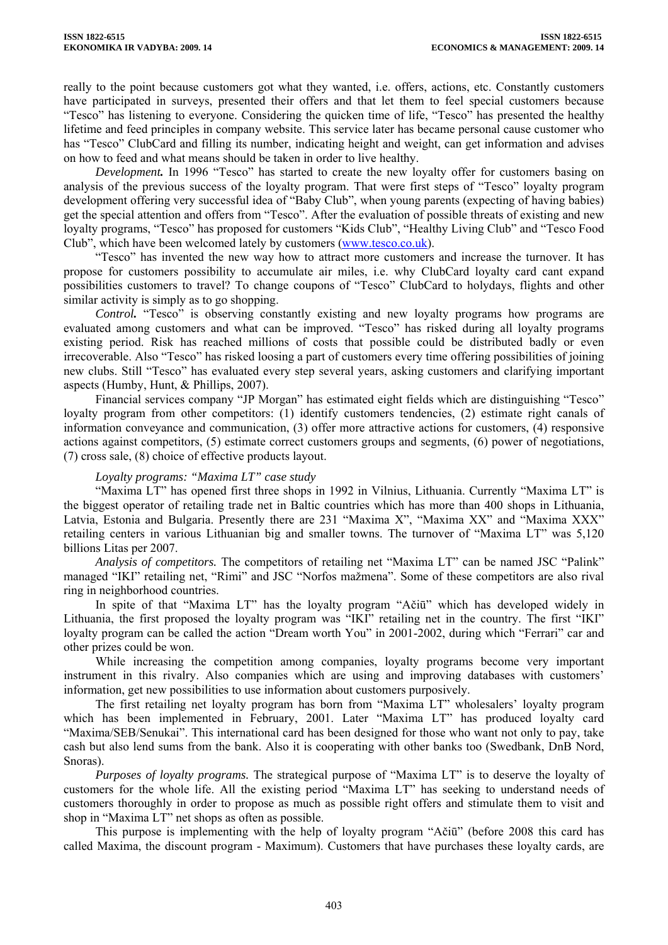really to the point because customers got what they wanted, i.e. offers, actions, etc. Constantly customers have participated in surveys, presented their offers and that let them to feel special customers because "Tesco" has listening to everyone. Considering the quicken time of life, "Tesco" has presented the healthy lifetime and feed principles in company website. This service later has became personal cause customer who has "Tesco" ClubCard and filling its number, indicating height and weight, can get information and advises on how to feed and what means should be taken in order to live healthy.

*Development.* In 1996 "Tesco" has started to create the new loyalty offer for customers basing on analysis of the previous success of the loyalty program. That were first steps of "Tesco" loyalty program development offering very successful idea of "Baby Club", when young parents (expecting of having babies) get the special attention and offers from "Tesco". After the evaluation of possible threats of existing and new loyalty programs, "Tesco" has proposed for customers "Kids Club", "Healthy Living Club" and "Tesco Food Club", which have been welcomed lately by customers [\(www.tesco.co.uk](http://www.tesco.co.uk/)).

"Tesco" has invented the new way how to attract more customers and increase the turnover. It has propose for customers possibility to accumulate air miles, i.e. why ClubCard loyalty card cant expand possibilities customers to travel? To change coupons of "Tesco" ClubCard to holydays, flights and other similar activity is simply as to go shopping.

*Control.* "Tesco" is observing constantly existing and new loyalty programs how programs are evaluated among customers and what can be improved. "Tesco" has risked during all loyalty programs existing period. Risk has reached millions of costs that possible could be distributed badly or even irrecoverable. Also "Tesco" has risked loosing a part of customers every time offering possibilities of joining new clubs. Still "Tesco" has evaluated every step several years, asking customers and clarifying important aspects (Humby, Hunt, & Phillips, 2007).

Financial services company "JP Morgan" has estimated eight fields which are distinguishing "Tesco" loyalty program from other competitors: (1) identify customers tendencies, (2) estimate right canals of information conveyance and communication, (3) offer more attractive actions for customers, (4) responsive actions against competitors, (5) estimate correct customers groups and segments, (6) power of negotiations, (7) cross sale, (8) choice of effective products layout.

## *Loyalty programs: "Maxima LT" case study*

"Maxima LT" has opened first three shops in 1992 in Vilnius, Lithuania. Currently "Maxima LT" is the biggest operator of retailing trade net in Baltic countries which has more than 400 shops in Lithuania, Latvia, Estonia and Bulgaria. Presently there are 231 "Maxima X", "Maxima XX" and "Maxima XXX" retailing centers in various Lithuanian big and smaller towns. The turnover of "Maxima LT" was 5,120 billions Litas per 2007.

*Analysis of competitors.* The competitors of retailing net "Maxima LT" can be named JSC "Palink" managed "IKI" retailing net, "Rimi" and JSC "Norfos mažmena". Some of these competitors are also rival ring in neighborhood countries.

In spite of that "Maxima LT" has the loyalty program "Ačiū" which has developed widely in Lithuania, the first proposed the loyalty program was "IKI" retailing net in the country. The first "IKI" loyalty program can be called the action "Dream worth You" in 2001-2002, during which "Ferrari" car and other prizes could be won.

While increasing the competition among companies, loyalty programs become very important instrument in this rivalry. Also companies which are using and improving databases with customers' information, get new possibilities to use information about customers purposively.

The first retailing net loyalty program has born from "Maxima LT" wholesalers' loyalty program which has been implemented in February, 2001. Later "Maxima LT" has produced loyalty card "Maxima/SEB/Senukai". This international card has been designed for those who want not only to pay, take cash but also lend sums from the bank. Also it is cooperating with other banks too (Swedbank, DnB Nord, Snoras).

*Purposes of loyalty programs.* The strategical purpose of "Maxima LT" is to deserve the loyalty of customers for the whole life. All the existing period "Maxima LT" has seeking to understand needs of customers thoroughly in order to propose as much as possible right offers and stimulate them to visit and shop in "Maxima LT" net shops as often as possible.

This purpose is implementing with the help of loyalty program "Ačiū" (before 2008 this card has called Maxima, the discount program - Maximum). Customers that have purchases these loyalty cards, are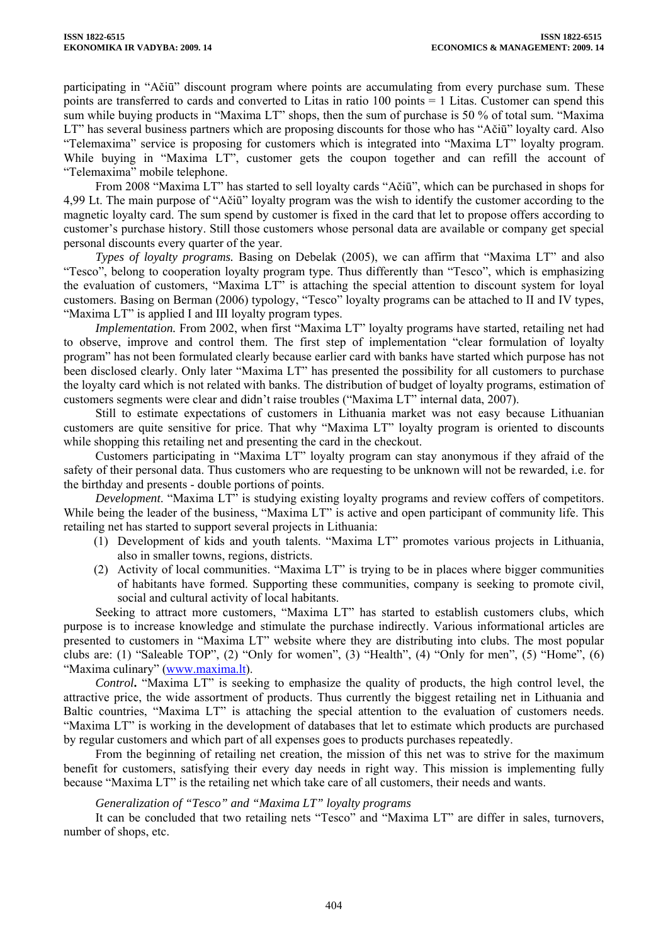participating in "Ačiū" discount program where points are accumulating from every purchase sum. These points are transferred to cards and converted to Litas in ratio 100 points = 1 Litas. Customer can spend this sum while buying products in "Maxima LT" shops, then the sum of purchase is 50 % of total sum. "Maxima LT" has several business partners which are proposing discounts for those who has "Ačiū" loyalty card. Also "Telemaxima" service is proposing for customers which is integrated into "Maxima LT" loyalty program. While buying in "Maxima LT", customer gets the coupon together and can refill the account of "Telemaxima" mobile telephone.

From 2008 "Maxima LT" has started to sell loyalty cards "Ačiū", which can be purchased in shops for 4,99 Lt. The main purpose of "Ačiū" loyalty program was the wish to identify the customer according to the magnetic loyalty card. The sum spend by customer is fixed in the card that let to propose offers according to customer's purchase history. Still those customers whose personal data are available or company get special personal discounts every quarter of the year.

*Types of loyalty programs.* Basing on Debelak (2005), we can affirm that "Maxima LT" and also "Tesco", belong to cooperation loyalty program type. Thus differently than "Tesco", which is emphasizing the evaluation of customers, "Maxima LT" is attaching the special attention to discount system for loyal customers. Basing on Berman (2006) typology, "Tesco" loyalty programs can be attached to II and IV types, "Maxima LT" is applied I and III loyalty program types.

*Implementation.* From 2002, when first "Maxima LT" loyalty programs have started, retailing net had to observe, improve and control them. The first step of implementation "clear formulation of loyalty program" has not been formulated clearly because earlier card with banks have started which purpose has not been disclosed clearly. Only later "Maxima LT" has presented the possibility for all customers to purchase the loyalty card which is not related with banks. The distribution of budget of loyalty programs, estimation of customers segments were clear and didn't raise troubles ("Maxima LT" internal data, 2007).

Still to estimate expectations of customers in Lithuania market was not easy because Lithuanian customers are quite sensitive for price. That why "Maxima LT" loyalty program is oriented to discounts while shopping this retailing net and presenting the card in the checkout.

Customers participating in "Maxima LT" loyalty program can stay anonymous if they afraid of the safety of their personal data. Thus customers who are requesting to be unknown will not be rewarded, i.e. for the birthday and presents - double portions of points.

*Development*. "Maxima LT" is studying existing loyalty programs and review coffers of competitors. While being the leader of the business, "Maxima LT" is active and open participant of community life. This retailing net has started to support several projects in Lithuania:

- (1) Development of kids and youth talents. "Maxima LT" promotes various projects in Lithuania, also in smaller towns, regions, districts.
- (2) Activity of local communities. "Maxima LT" is trying to be in places where bigger communities of habitants have formed. Supporting these communities, company is seeking to promote civil, social and cultural activity of local habitants.

Seeking to attract more customers, "Maxima LT" has started to establish customers clubs, which purpose is to increase knowledge and stimulate the purchase indirectly. Various informational articles are presented to customers in "Maxima LT" website where they are distributing into clubs. The most popular clubs are: (1) "Saleable TOP", (2) "Only for women", (3) "Health", (4) "Only for men", (5) "Home", (6) "Maxima culinary" [\(www.maxima.lt](http://www.maxima.lt/)).

*Control***.** "Maxima LT" is seeking to emphasize the quality of products, the high control level, the attractive price, the wide assortment of products. Thus currently the biggest retailing net in Lithuania and Baltic countries, "Maxima LT" is attaching the special attention to the evaluation of customers needs. "Maxima LT" is working in the development of databases that let to estimate which products are purchased by regular customers and which part of all expenses goes to products purchases repeatedly.

From the beginning of retailing net creation, the mission of this net was to strive for the maximum benefit for customers, satisfying their every day needs in right way. This mission is implementing fully because "Maxima LT" is the retailing net which take care of all customers, their needs and wants.

## *Generalization of "Tesco" and "Maxima LT" loyalty programs*

It can be concluded that two retailing nets "Tesco" and "Maxima LT" are differ in sales, turnovers, number of shops, etc.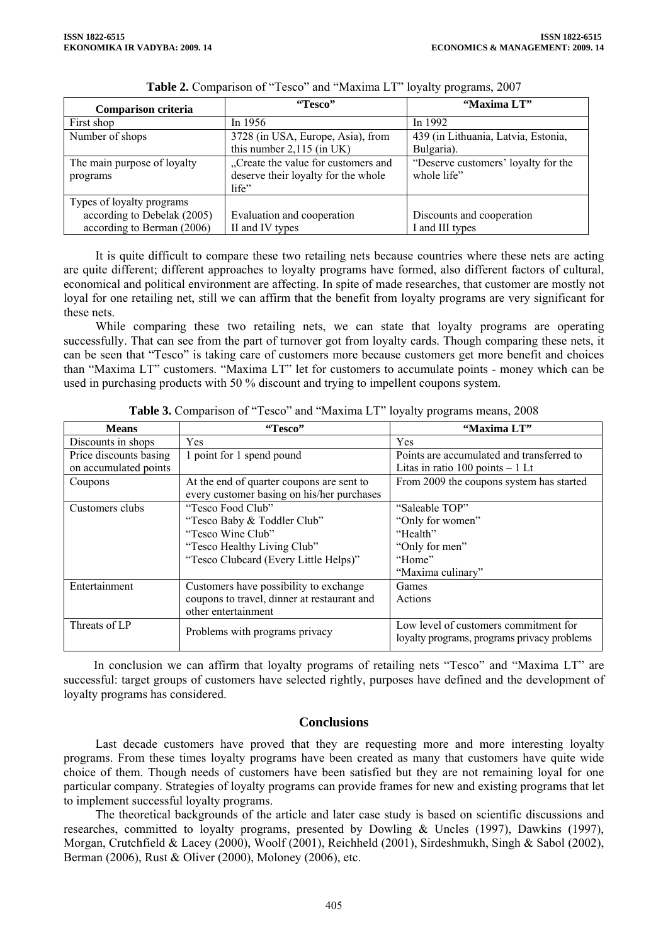| Comparison criteria         | "Tesco"                             | "Maxima LT"                         |  |
|-----------------------------|-------------------------------------|-------------------------------------|--|
| First shop                  | In $1956$                           | In 1992                             |  |
| Number of shops             | 3728 (in USA, Europe, Asia), from   | 439 (in Lithuania, Latvia, Estonia, |  |
|                             | this number $2,115$ (in UK)         | Bulgaria).                          |  |
| The main purpose of loyalty | "Create the value for customers and | "Deserve customers' loyalty for the |  |
| programs                    | deserve their loyalty for the whole | whole life"                         |  |
|                             | life"                               |                                     |  |
| Types of loyalty programs   |                                     |                                     |  |
| according to Debelak (2005) | Evaluation and cooperation          | Discounts and cooperation           |  |
| according to Berman (2006)  | II and IV types                     | I and III types                     |  |

|  |  |  |  | Table 2. Comparison of "Tesco" and "Maxima LT" loyalty programs, 2007 |  |
|--|--|--|--|-----------------------------------------------------------------------|--|
|--|--|--|--|-----------------------------------------------------------------------|--|

It is quite difficult to compare these two retailing nets because countries where these nets are acting are quite different; different approaches to loyalty programs have formed, also different factors of cultural, economical and political environment are affecting. In spite of made researches, that customer are mostly not loyal for one retailing net, still we can affirm that the benefit from loyalty programs are very significant for these nets.

While comparing these two retailing nets, we can state that loyalty programs are operating successfully. That can see from the part of turnover got from loyalty cards. Though comparing these nets, it can be seen that "Tesco" is taking care of customers more because customers get more benefit and choices than "Maxima LT" customers. "Maxima LT" let for customers to accumulate points - money which can be used in purchasing products with 50 % discount and trying to impellent coupons system.

| <b>Means</b>           | "Tesco"                                     | "Maxima LT"                                 |  |
|------------------------|---------------------------------------------|---------------------------------------------|--|
| Discounts in shops     | Yes                                         | Yes                                         |  |
| Price discounts basing | 1 point for 1 spend pound                   | Points are accumulated and transferred to   |  |
| on accumulated points  |                                             | Litas in ratio $100$ points $-1$ Lt         |  |
| Coupons                | At the end of quarter coupons are sent to   | From 2009 the coupons system has started    |  |
|                        | every customer basing on his/her purchases  |                                             |  |
| Customers clubs        | "Tesco Food Club"                           | "Saleable TOP"                              |  |
|                        | "Tesco Baby & Toddler Club"                 | "Only for women"                            |  |
|                        | "Tesco Wine Club"                           | "Health"                                    |  |
|                        | "Tesco Healthy Living Club"                 | "Only for men"                              |  |
|                        | "Tesco Clubcard (Every Little Helps)"       | "Home"                                      |  |
|                        |                                             | "Maxima culinary"                           |  |
| Entertainment          | Customers have possibility to exchange      | Games                                       |  |
|                        | coupons to travel, dinner at restaurant and | Actions                                     |  |
|                        | other entertainment                         |                                             |  |
| Threats of LP          | Problems with programs privacy              | Low level of customers commitment for       |  |
|                        |                                             | loyalty programs, programs privacy problems |  |

**Table 3.** Comparison of "Tesco" and "Maxima LT" loyalty programs means, 2008

In conclusion we can affirm that loyalty programs of retailing nets "Tesco" and "Maxima LT" are successful: target groups of customers have selected rightly, purposes have defined and the development of loyalty programs has considered.

## **Conclusions**

Last decade customers have proved that they are requesting more and more interesting loyalty programs. From these times loyalty programs have been created as many that customers have quite wide choice of them. Though needs of customers have been satisfied but they are not remaining loyal for one particular company. Strategies of loyalty programs can provide frames for new and existing programs that let to implement successful loyalty programs.

The theoretical backgrounds of the article and later case study is based on scientific discussions and researches, committed to loyalty programs, presented by Dowling & Uncles (1997), Dawkins (1997), Morgan, Crutchfield & Lacey (2000), Woolf (2001), Reichheld (2001), Sirdeshmukh, Singh & Sabol (2002), Berman (2006), Rust & Oliver (2000), Moloney (2006), etc.